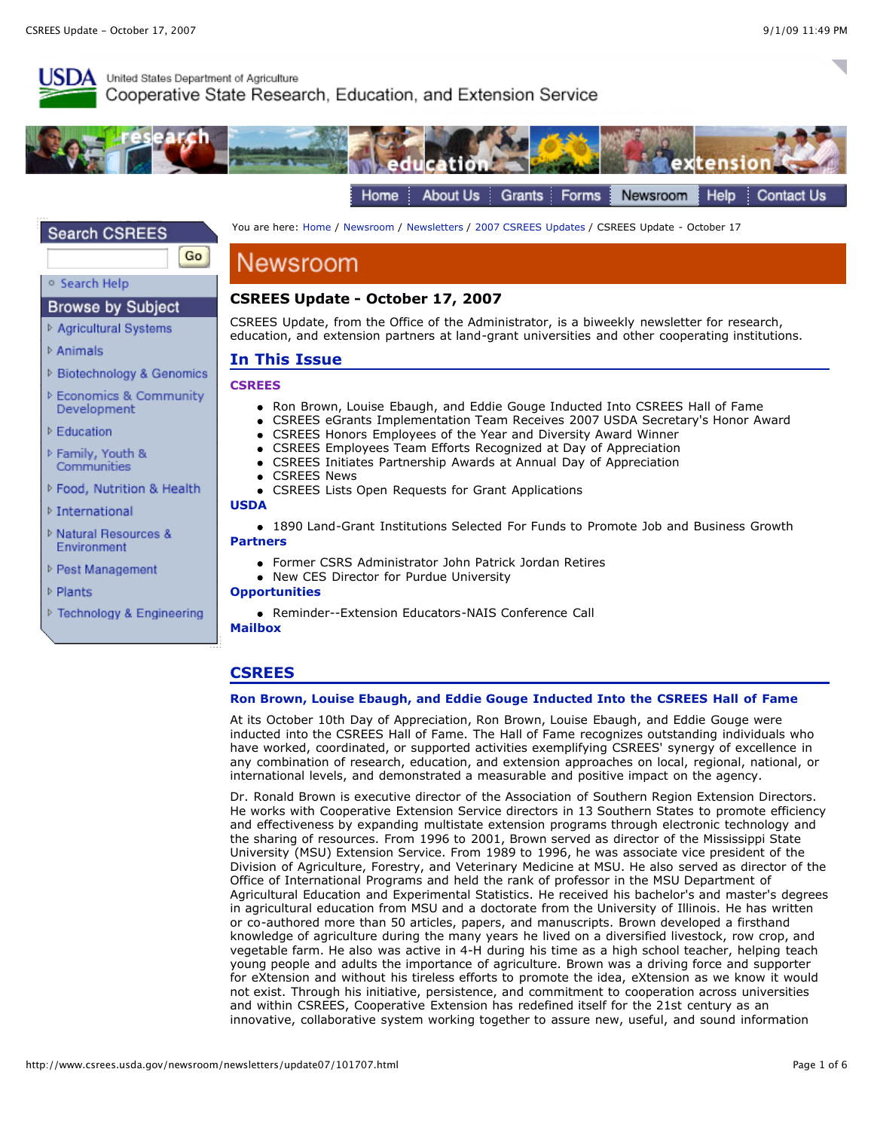

## United States Department of Agriculture Cooperative State Research, Education, and Extension Service



## **Search CSREES**

**Browse by Subject** ▷ Agricultural Systems

▷ Biotechnology & Genomics **Economics & Community** 

o Search Help

**D** Animals

Go

You are here: [Home](http://www.csrees.usda.gov/index.html) / [Newsroom](http://www.csrees.usda.gov/newsroom/newsroom.html) / [Newsletters](http://www.csrees.usda.gov/newsroom/newsletters/newsletters.html) / [2007 CSREES Updates](http://www.csrees.usda.gov/newsroom/newsletters/update07/update07.html) / CSREES Update - October 17

# Newsroom

## **CSREES Update - October 17, 2007**

CSREES Update, from the Office of the Administrator, is a biweekly newsletter for research, education, and extension partners at land-grant universities and other cooperating institutions.

## **In This Issue**

### **[CSREES](http://www.csrees.usda.gov/newsroom/newsletters/update07/101707.html#csrees)**

- Ron Brown, Louise Ebaugh, and Eddie Gouge Inducted Into CSREES Hall of Fame
- CSREES eGrants Implementation Team Receives 2007 USDA Secretary's Honor Award

1890 Land-Grant Institutions Selected For Funds to Promote Job and Business Growth

- CSREES Honors Employees of the Year and Diversity Award Winner
- CSREES Employees Team Efforts Recognized at Day of Appreciation
- CSREES Initiates Partnership Awards at Annual Day of Appreciation
- **CSREES News**
- CSREES Lists Open Requests for Grant Applications **[USDA](http://www.csrees.usda.gov/newsroom/newsletters/update07/101707.html#USDA)**

Former CSRS Administrator John Patrick Jordan Retires

▷ International

Development ▷ Education ▷ Family, Youth & Communities

▷ Natural Resources & Environment

P Food, Nutrition & Health

- ▷ Pest Management
- ▷ Plants
- ▷ Technology & Engineering

#### Reminder--Extension Educators-NAIS Conference Call **[Mailbox](http://www.csrees.usda.gov/newsroom/newsletters/update07/101707.html#Mailbox)**

• New CES Director for Purdue University

## **CSREES**

**[Partners](http://www.csrees.usda.gov/newsroom/newsletters/update07/101707.html#Partners)**

**[Opportunities](http://www.csrees.usda.gov/newsroom/newsletters/update07/101707.html#opportunities)**

### **Ron Brown, Louise Ebaugh, and Eddie Gouge Inducted Into the CSREES Hall of Fame**

At its October 10th Day of Appreciation, Ron Brown, Louise Ebaugh, and Eddie Gouge were inducted into the CSREES Hall of Fame. The Hall of Fame recognizes outstanding individuals who have worked, coordinated, or supported activities exemplifying CSREES' synergy of excellence in any combination of research, education, and extension approaches on local, regional, national, or international levels, and demonstrated a measurable and positive impact on the agency.

Dr. Ronald Brown is executive director of the Association of Southern Region Extension Directors. He works with Cooperative Extension Service directors in 13 Southern States to promote efficiency and effectiveness by expanding multistate extension programs through electronic technology and the sharing of resources. From 1996 to 2001, Brown served as director of the Mississippi State University (MSU) Extension Service. From 1989 to 1996, he was associate vice president of the Division of Agriculture, Forestry, and Veterinary Medicine at MSU. He also served as director of the Office of International Programs and held the rank of professor in the MSU Department of Agricultural Education and Experimental Statistics. He received his bachelor's and master's degrees in agricultural education from MSU and a doctorate from the University of Illinois. He has written or co-authored more than 50 articles, papers, and manuscripts. Brown developed a firsthand knowledge of agriculture during the many years he lived on a diversified livestock, row crop, and vegetable farm. He also was active in 4-H during his time as a high school teacher, helping teach young people and adults the importance of agriculture. Brown was a driving force and supporter for eXtension and without his tireless efforts to promote the idea, eXtension as we know it would not exist. Through his initiative, persistence, and commitment to cooperation across universities and within CSREES, Cooperative Extension has redefined itself for the 21st century as an innovative, collaborative system working together to assure new, useful, and sound information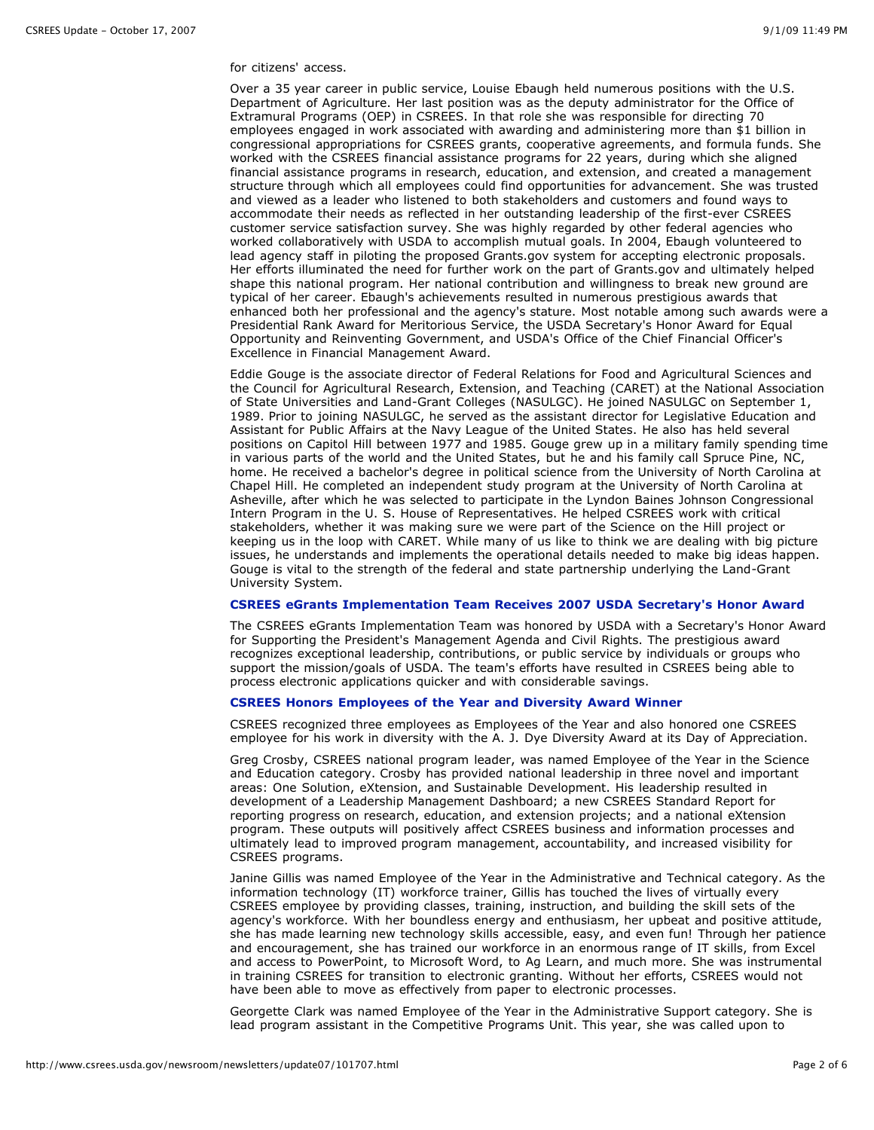#### for citizens' access.

Over a 35 year career in public service, Louise Ebaugh held numerous positions with the U.S. Department of Agriculture. Her last position was as the deputy administrator for the Office of Extramural Programs (OEP) in CSREES. In that role she was responsible for directing 70 employees engaged in work associated with awarding and administering more than \$1 billion in congressional appropriations for CSREES grants, cooperative agreements, and formula funds. She worked with the CSREES financial assistance programs for 22 years, during which she aligned financial assistance programs in research, education, and extension, and created a management structure through which all employees could find opportunities for advancement. She was trusted and viewed as a leader who listened to both stakeholders and customers and found ways to accommodate their needs as reflected in her outstanding leadership of the first-ever CSREES customer service satisfaction survey. She was highly regarded by other federal agencies who worked collaboratively with USDA to accomplish mutual goals. In 2004, Ebaugh volunteered to lead agency staff in piloting the proposed Grants.gov system for accepting electronic proposals. Her efforts illuminated the need for further work on the part of Grants.gov and ultimately helped shape this national program. Her national contribution and willingness to break new ground are typical of her career. Ebaugh's achievements resulted in numerous prestigious awards that enhanced both her professional and the agency's stature. Most notable among such awards were a Presidential Rank Award for Meritorious Service, the USDA Secretary's Honor Award for Equal Opportunity and Reinventing Government, and USDA's Office of the Chief Financial Officer's Excellence in Financial Management Award.

Eddie Gouge is the associate director of Federal Relations for Food and Agricultural Sciences and the Council for Agricultural Research, Extension, and Teaching (CARET) at the National Association of State Universities and Land-Grant Colleges (NASULGC). He joined NASULGC on September 1, 1989. Prior to joining NASULGC, he served as the assistant director for Legislative Education and Assistant for Public Affairs at the Navy League of the United States. He also has held several positions on Capitol Hill between 1977 and 1985. Gouge grew up in a military family spending time in various parts of the world and the United States, but he and his family call Spruce Pine, NC, home. He received a bachelor's degree in political science from the University of North Carolina at Chapel Hill. He completed an independent study program at the University of North Carolina at Asheville, after which he was selected to participate in the Lyndon Baines Johnson Congressional Intern Program in the U. S. House of Representatives. He helped CSREES work with critical stakeholders, whether it was making sure we were part of the Science on the Hill project or keeping us in the loop with CARET. While many of us like to think we are dealing with big picture issues, he understands and implements the operational details needed to make big ideas happen. Gouge is vital to the strength of the federal and state partnership underlying the Land-Grant University System.

#### **CSREES eGrants Implementation Team Receives 2007 USDA Secretary's Honor Award**

The CSREES eGrants Implementation Team was honored by USDA with a Secretary's Honor Award for Supporting the President's Management Agenda and Civil Rights. The prestigious award recognizes exceptional leadership, contributions, or public service by individuals or groups who support the mission/goals of USDA. The team's efforts have resulted in CSREES being able to process electronic applications quicker and with considerable savings.

### **CSREES Honors Employees of the Year and Diversity Award Winner**

CSREES recognized three employees as Employees of the Year and also honored one CSREES employee for his work in diversity with the A. J. Dye Diversity Award at its Day of Appreciation.

Greg Crosby, CSREES national program leader, was named Employee of the Year in the Science and Education category. Crosby has provided national leadership in three novel and important areas: One Solution, eXtension, and Sustainable Development. His leadership resulted in development of a Leadership Management Dashboard; a new CSREES Standard Report for reporting progress on research, education, and extension projects; and a national eXtension program. These outputs will positively affect CSREES business and information processes and ultimately lead to improved program management, accountability, and increased visibility for CSREES programs.

Janine Gillis was named Employee of the Year in the Administrative and Technical category. As the information technology (IT) workforce trainer, Gillis has touched the lives of virtually every CSREES employee by providing classes, training, instruction, and building the skill sets of the agency's workforce. With her boundless energy and enthusiasm, her upbeat and positive attitude, she has made learning new technology skills accessible, easy, and even fun! Through her patience and encouragement, she has trained our workforce in an enormous range of IT skills, from Excel and access to PowerPoint, to Microsoft Word, to Ag Learn, and much more. She was instrumental in training CSREES for transition to electronic granting. Without her efforts, CSREES would not have been able to move as effectively from paper to electronic processes.

Georgette Clark was named Employee of the Year in the Administrative Support category. She is lead program assistant in the Competitive Programs Unit. This year, she was called upon to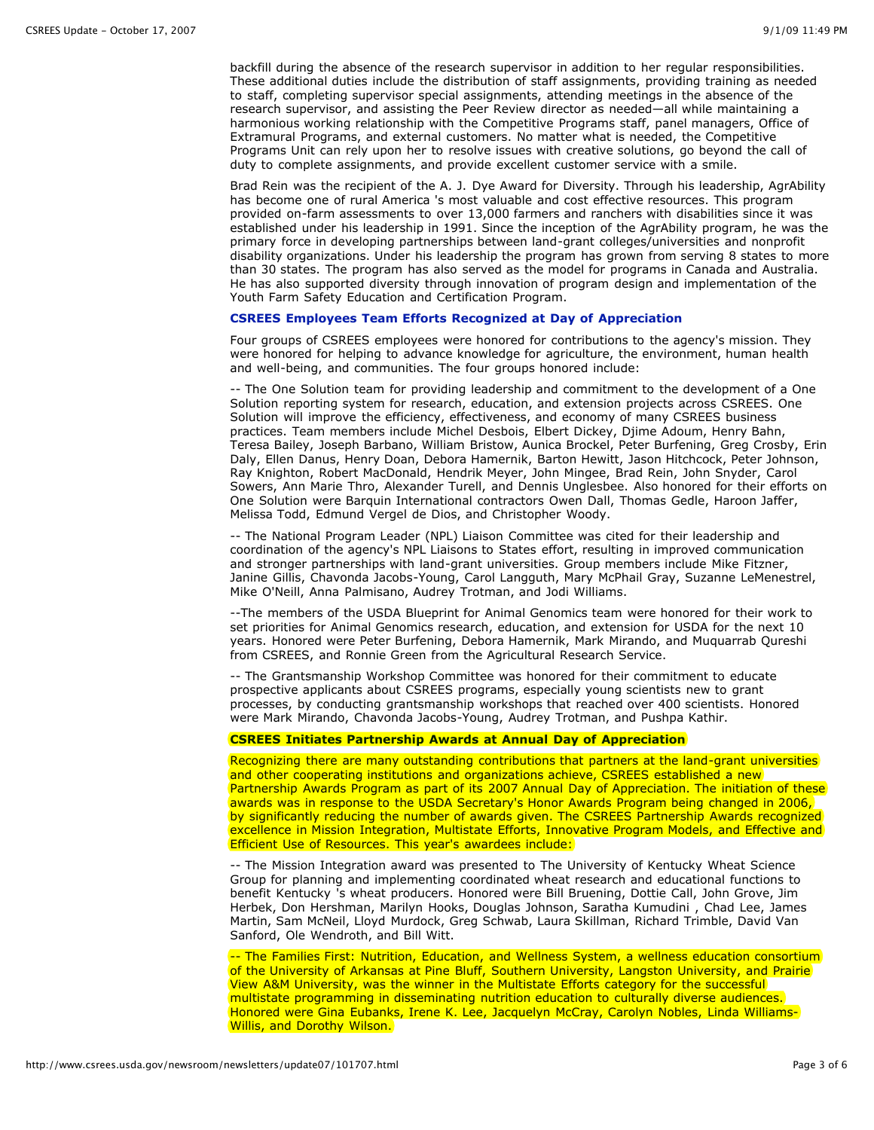backfill during the absence of the research supervisor in addition to her regular responsibilities. These additional duties include the distribution of staff assignments, providing training as needed to staff, completing supervisor special assignments, attending meetings in the absence of the research supervisor, and assisting the Peer Review director as needed—all while maintaining a harmonious working relationship with the Competitive Programs staff, panel managers, Office of Extramural Programs, and external customers. No matter what is needed, the Competitive Programs Unit can rely upon her to resolve issues with creative solutions, go beyond the call of duty to complete assignments, and provide excellent customer service with a smile.

Brad Rein was the recipient of the A. J. Dye Award for Diversity. Through his leadership, AgrAbility has become one of rural America 's most valuable and cost effective resources. This program provided on-farm assessments to over 13,000 farmers and ranchers with disabilities since it was established under his leadership in 1991. Since the inception of the AgrAbility program, he was the primary force in developing partnerships between land-grant colleges/universities and nonprofit disability organizations. Under his leadership the program has grown from serving 8 states to more than 30 states. The program has also served as the model for programs in Canada and Australia. He has also supported diversity through innovation of program design and implementation of the Youth Farm Safety Education and Certification Program.

#### **CSREES Employees Team Efforts Recognized at Day of Appreciation**

Four groups of CSREES employees were honored for contributions to the agency's mission. They were honored for helping to advance knowledge for agriculture, the environment, human health and well-being, and communities. The four groups honored include:

-- The One Solution team for providing leadership and commitment to the development of a One Solution reporting system for research, education, and extension projects across CSREES. One Solution will improve the efficiency, effectiveness, and economy of many CSREES business practices. Team members include Michel Desbois, Elbert Dickey, Djime Adoum, Henry Bahn, Teresa Bailey, Joseph Barbano, William Bristow, Aunica Brockel, Peter Burfening, Greg Crosby, Erin Daly, Ellen Danus, Henry Doan, Debora Hamernik, Barton Hewitt, Jason Hitchcock, Peter Johnson, Ray Knighton, Robert MacDonald, Hendrik Meyer, John Mingee, Brad Rein, John Snyder, Carol Sowers, Ann Marie Thro, Alexander Turell, and Dennis Unglesbee. Also honored for their efforts on One Solution were Barquin International contractors Owen Dall, Thomas Gedle, Haroon Jaffer, Melissa Todd, Edmund Vergel de Dios, and Christopher Woody.

-- The National Program Leader (NPL) Liaison Committee was cited for their leadership and coordination of the agency's NPL Liaisons to States effort, resulting in improved communication and stronger partnerships with land-grant universities. Group members include Mike Fitzner, Janine Gillis, Chavonda Jacobs-Young, Carol Langguth, Mary McPhail Gray, Suzanne LeMenestrel, Mike O'Neill, Anna Palmisano, Audrey Trotman, and Jodi Williams.

--The members of the USDA Blueprint for Animal Genomics team were honored for their work to set priorities for Animal Genomics research, education, and extension for USDA for the next 10 years. Honored were Peter Burfening, Debora Hamernik, Mark Mirando, and Muquarrab Qureshi from CSREES, and Ronnie Green from the Agricultural Research Service.

-- The Grantsmanship Workshop Committee was honored for their commitment to educate prospective applicants about CSREES programs, especially young scientists new to grant processes, by conducting grantsmanship workshops that reached over 400 scientists. Honored were Mark Mirando, Chavonda Jacobs-Young, Audrey Trotman, and Pushpa Kathir.

### **CSREES Initiates Partnership Awards at Annual Day of Appreciation**

Recognizing there are many outstanding contributions that partners at the land-grant universities and other cooperating institutions and organizations achieve, CSREES established a new Partnership Awards Program as part of its 2007 Annual Day of Appreciation. The initiation of these awards was in response to the USDA Secretary's Honor Awards Program being changed in 2006, by significantly reducing the number of awards given. The CSREES Partnership Awards recognized excellence in Mission Integration, Multistate Efforts, Innovative Program Models, and Effective and Efficient Use of Resources. This year's awardees include:

-- The Mission Integration award was presented to The University of Kentucky Wheat Science Group for planning and implementing coordinated wheat research and educational functions to benefit Kentucky 's wheat producers. Honored were Bill Bruening, Dottie Call, John Grove, Jim Herbek, Don Hershman, Marilyn Hooks, Douglas Johnson, Saratha Kumudini , Chad Lee, James Martin, Sam McNeil, Lloyd Murdock, Greg Schwab, Laura Skillman, Richard Trimble, David Van Sanford, Ole Wendroth, and Bill Witt.

-- The Families First: Nutrition, Education, and Wellness System, a wellness education consortium of the University of Arkansas at Pine Bluff, Southern University, Langston University, and Prairie View A&M University, was the winner in the Multistate Efforts category for the successful multistate programming in disseminating nutrition education to culturally diverse audiences. Honored were Gina Eubanks, Irene K. Lee, Jacquelyn McCray, Carolyn Nobles, Linda Williams-Willis, and Dorothy Wilson.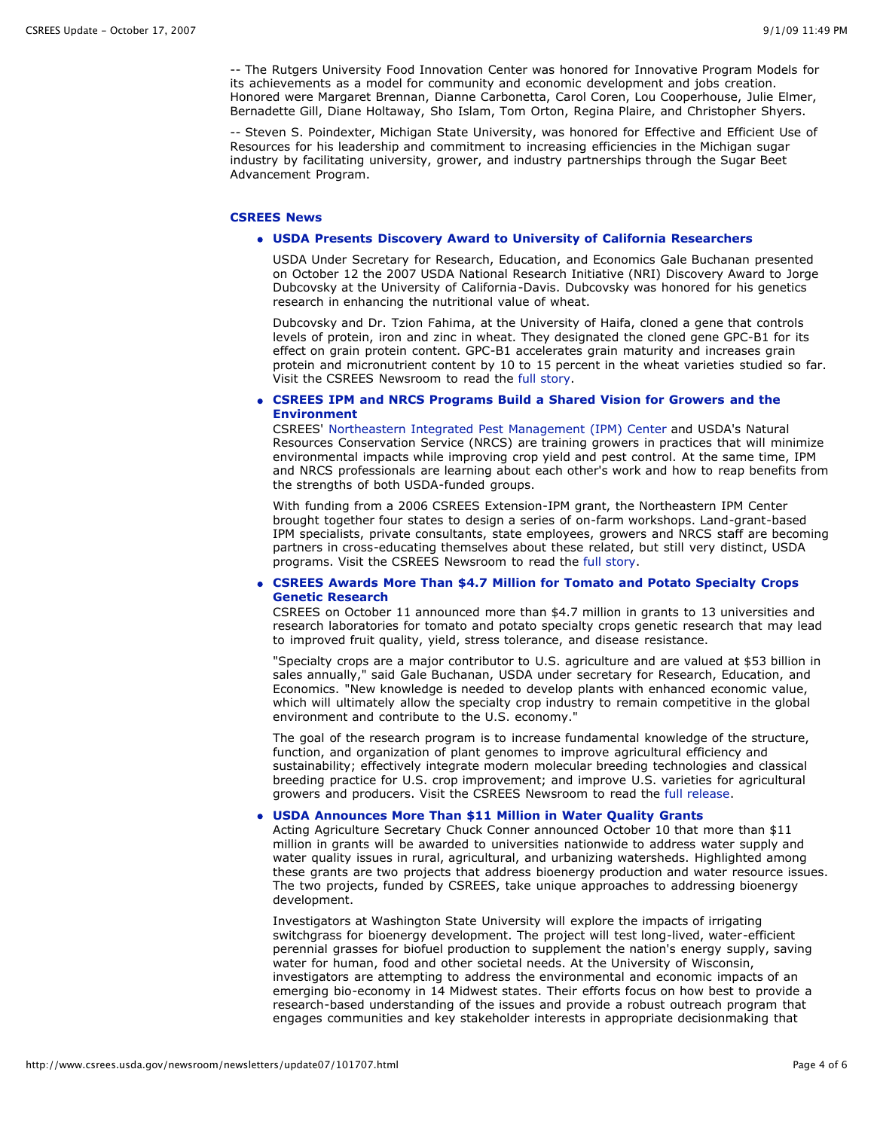-- The Rutgers University Food Innovation Center was honored for Innovative Program Models for its achievements as a model for community and economic development and jobs creation. Honored were Margaret Brennan, Dianne Carbonetta, Carol Coren, Lou Cooperhouse, Julie Elmer, Bernadette Gill, Diane Holtaway, Sho Islam, Tom Orton, Regina Plaire, and Christopher Shyers.

-- Steven S. Poindexter, Michigan State University, was honored for Effective and Efficient Use of Resources for his leadership and commitment to increasing efficiencies in the Michigan sugar industry by facilitating university, grower, and industry partnerships through the Sugar Beet Advancement Program.

#### **CSREES News**

#### **USDA Presents Discovery Award to University of California Researchers**

USDA Under Secretary for Research, Education, and Economics Gale Buchanan presented on October 12 the 2007 USDA National Research Initiative (NRI) Discovery Award to Jorge Dubcovsky at the University of California-Davis. Dubcovsky was honored for his genetics research in enhancing the nutritional value of wheat.

Dubcovsky and Dr. Tzion Fahima, at the University of Haifa, cloned a gene that controls levels of protein, iron and zinc in wheat. They designated the cloned gene GPC-B1 for its effect on grain protein content. GPC-B1 accelerates grain maturity and increases grain protein and micronutrient content by 10 to 15 percent in the wheat varieties studied so far. Visit the CSREES Newsroom to read the [full story.](http://www.csrees.usda.gov/newsroom/news/2007news/discovery_dubcovsky.html)

### **CSREES IPM and NRCS Programs Build a Shared Vision for Growers and the Environment**

CSREES' [Northeastern Integrated Pest Management \(IPM\) Center](http://northeastipm.org/) and USDA's Natural Resources Conservation Service (NRCS) are training growers in practices that will minimize environmental impacts while improving crop yield and pest control. At the same time, IPM and NRCS professionals are learning about each other's work and how to reap benefits from the strengths of both USDA-funded groups.

With funding from a 2006 CSREES Extension-IPM grant, the Northeastern IPM Center brought together four states to design a series of on-farm workshops. Land-grant-based IPM specialists, private consultants, state employees, growers and NRCS staff are becoming partners in cross-educating themselves about these related, but still very distinct, USDA programs. Visit the CSREES Newsroom to read the [full story.](http://www.csrees.usda.gov/newsroom/news/2007news/northeastipm.html)

#### **CSREES Awards More Than \$4.7 Million for Tomato and Potato Specialty Crops Genetic Research**

CSREES on October 11 announced more than \$4.7 million in grants to 13 universities and research laboratories for tomato and potato specialty crops genetic research that may lead to improved fruit quality, yield, stress tolerance, and disease resistance.

"Specialty crops are a major contributor to U.S. agriculture and are valued at \$53 billion in sales annually," said Gale Buchanan, USDA under secretary for Research, Education, and Economics. "New knowledge is needed to develop plants with enhanced economic value, which will ultimately allow the specialty crop industry to remain competitive in the global environment and contribute to the U.S. economy."

The goal of the research program is to increase fundamental knowledge of the structure, function, and organization of plant genomes to improve agricultural efficiency and sustainability; effectively integrate modern molecular breeding technologies and classical breeding practice for U.S. crop improvement; and improve U.S. varieties for agricultural growers and producers. Visit the CSREES Newsroom to read the [full release.](http://www.csrees.usda.gov/newsroom/news/2007news/tomato.html)

## **USDA Announces More Than \$11 Million in Water Quality Grants**

Acting Agriculture Secretary Chuck Conner announced October 10 that more than \$11 million in grants will be awarded to universities nationwide to address water supply and water quality issues in rural, agricultural, and urbanizing watersheds. Highlighted among these grants are two projects that address bioenergy production and water resource issues. The two projects, funded by CSREES, take unique approaches to addressing bioenergy development.

Investigators at Washington State University will explore the impacts of irrigating switchgrass for bioenergy development. The project will test long-lived, water-efficient perennial grasses for biofuel production to supplement the nation's energy supply, saving water for human, food and other societal needs. At the University of Wisconsin, investigators are attempting to address the environmental and economic impacts of an emerging bio-economy in 14 Midwest states. Their efforts focus on how best to provide a research-based understanding of the issues and provide a robust outreach program that engages communities and key stakeholder interests in appropriate decisionmaking that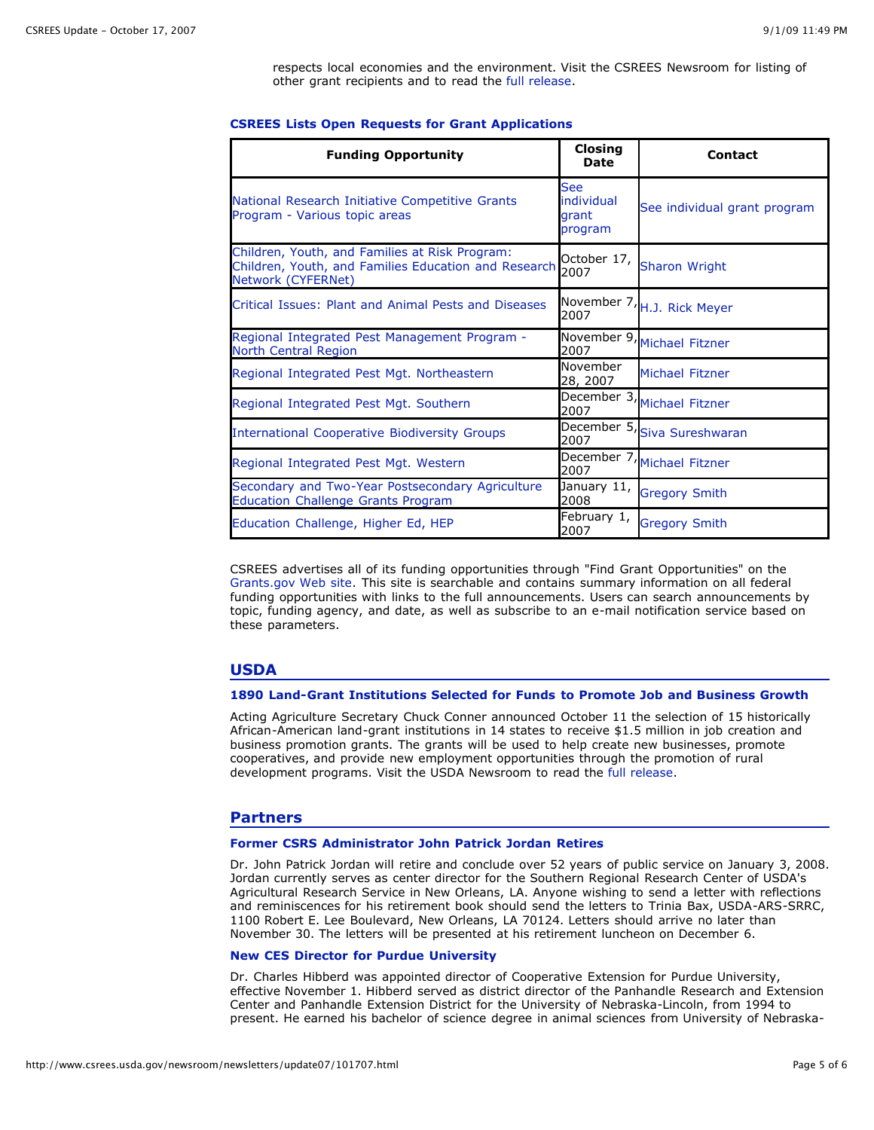respects local economies and the environment. Visit the CSREES Newsroom for listing of other grant recipients and to read the [full release](http://www.csrees.usda.gov/newsroom/news/2007news/waterquality.html).

### **CSREES Lists Open Requests for Grant Applications**

| <b>Funding Opportunity</b>                                                                                                   | <b>Closing</b><br><b>Date</b>                | <b>Contact</b>               |
|------------------------------------------------------------------------------------------------------------------------------|----------------------------------------------|------------------------------|
| National Research Initiative Competitive Grants<br>Program - Various topic areas                                             | <b>See</b><br>individual<br>grant<br>program | See individual grant program |
| Children, Youth, and Families at Risk Program:<br>Children, Youth, and Families Education and Research<br>Network (CYFERNet) | October 17,<br>2007                          | <b>Sharon Wright</b>         |
| Critical Issues: Plant and Animal Pests and Diseases                                                                         | November 7,<br>2007                          | H.J. Rick Meyer              |
| Regional Integrated Pest Management Program -<br>North Central Region                                                        | 2007                                         | November 9, Michael Fitzner  |
| Regional Integrated Pest Mgt. Northeastern                                                                                   | November<br>28, 2007                         | <b>Michael Fitzner</b>       |
| Regional Integrated Pest Mgt. Southern                                                                                       | 2007                                         | December 3, Michael Fitzner  |
| <b>International Cooperative Biodiversity Groups</b>                                                                         | 2007                                         | December 5, Siva Sureshwaran |
| Regional Integrated Pest Mgt. Western                                                                                        | 2007                                         | December 7, Michael Fitzner  |
| Secondary and Two-Year Postsecondary Agriculture<br><b>Education Challenge Grants Program</b>                                | January 11,<br>2008                          | <b>Gregory Smith</b>         |
| Education Challenge, Higher Ed, HEP                                                                                          | February 1,<br>2007                          | <b>Gregory Smith</b>         |

CSREES advertises all of its funding opportunities through "Find Grant Opportunities" on the [Grants.gov Web site.](http://www.grants.gov/) This site is searchable and contains summary information on all federal funding opportunities with links to the full announcements. Users can search announcements by topic, funding agency, and date, as well as subscribe to an e-mail notification service based on these parameters.

## **USDA**

#### **1890 Land-Grant Institutions Selected for Funds to Promote Job and Business Growth**

Acting Agriculture Secretary Chuck Conner announced October 11 the selection of 15 historically African-American land-grant institutions in 14 states to receive \$1.5 million in job creation and business promotion grants. The grants will be used to help create new businesses, promote cooperatives, and provide new employment opportunities through the promotion of rural development programs. Visit the USDA Newsroom to read the [full release.](http://www.usda.gov/wps/portal/!ut/p/_s.7_0_A/7_0_1OB/.cmd/ad/.ar/sa.retrievecontent/.c/6_2_1UH/.ce/7_2_5JM/.p/5_2_4TQ/.d/1/_th/J_2_9D/_s.7_0_A/7_0_1OB?PC_7_2_5JM_contentid=2007%2F10%2F0289.xml&PC_7_2_5JM_parentnav=LATEST_RELEASES&PC_7_2_5JM_navid=NEWS_REL)

## **Partners**

#### **Former CSRS Administrator John Patrick Jordan Retires**

Dr. John Patrick Jordan will retire and conclude over 52 years of public service on January 3, 2008. Jordan currently serves as center director for the Southern Regional Research Center of USDA's Agricultural Research Service in New Orleans, LA. Anyone wishing to send a letter with reflections and reminiscences for his retirement book should send the letters to Trinia Bax, USDA-ARS-SRRC, 1100 Robert E. Lee Boulevard, New Orleans, LA 70124. Letters should arrive no later than November 30. The letters will be presented at his retirement luncheon on December 6.

## **New CES Director for Purdue University**

Dr. Charles Hibberd was appointed director of Cooperative Extension for Purdue University, effective November 1. Hibberd served as district director of the Panhandle Research and Extension Center and Panhandle Extension District for the University of Nebraska-Lincoln, from 1994 to present. He earned his bachelor of science degree in animal sciences from University of Nebraska